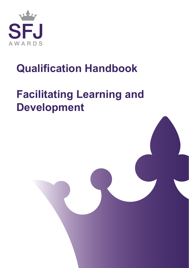

# **Qualification Handbook**

# **Facilitating Learning and Development**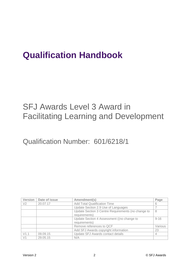### **Qualification Handbook**

### SFJ Awards Level 3 Award in Facilitating Learning and Development

Qualification Number: 601/6218/1

| <b>Version</b> | Date of issue | Amendment(s)                                       | Page     |
|----------------|---------------|----------------------------------------------------|----------|
| V2             | 20.07.17      | <b>Add Total Qualification Time</b>                | 6        |
|                |               | Update Section 2.9 Use of Languages                |          |
|                |               | Update Section 3 Centre Requirements (no change to | 8        |
|                |               | requirements)                                      |          |
|                |               | Update Section 4 Assessment ((no change to         | $9 - 16$ |
|                |               | requirements)                                      |          |
|                |               | Remove references to QCF                           | Various  |
|                |               | Add SFJ Awards copyright information               | 23       |
| V1.1           | 09.09.15      | Update SFJ Awards contact details                  | 4        |
| V <sub>1</sub> | 29.05.15      | N/A                                                |          |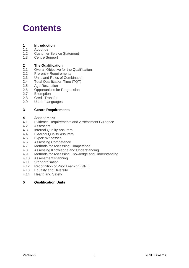### **Contents**

#### **1 Introduction**

- 1.1 About us
- 1.2 Customer Service Statement<br>1.3 Centre Support
- Centre Support

#### **2 The Qualification**

- 2.1 Overall Objective for the Qualification
- 2.2 Pre-entry Requirements
- 2.3 Units and Rules of Combination
- 2.4 Total Qualification Time (TQT)
- 2.5 Age Restriction
- 2.6 Opportunities for Progression
- 2.7 Exemption
- 2.8 Credit Transfer
- 2.9 Use of Languages

#### **3 Centre Requirements**

#### **4 Assessment**

- 4.1 Evidence Requirements and Assessment Guidance
- 4.2 Assessors
- 4.3 Internal Quality Assurers
- 4.4 External Quality Assurers
- 4.5 Expert Witnesses
- 4.6 Assessing Competence
- 4.7 Methods for Assessing Competence
- 4.8 Assessing Knowledge and Understanding
- 4.9 Methods for Assessing Knowledge and Understanding
- 4.10 Assessment Planning
- 4.11 Standardisation
- 4.12 Recognition of Prior Learning (RPL)
- 4.13 Equality and Diversity
- 4.14 Health and Safety

#### **5 Qualification Units**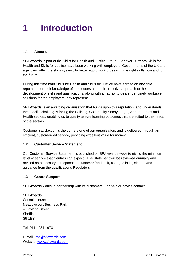### **1 Introduction**

#### **1.1 About us**

SFJ Awards is part of the Skills for Health and Justice Group. For over 10 years [Skills for](http://www.skillsforjustice.com/)  [Health and Skills for Justice](http://www.skillsforjustice.com/) have been working with employers, Governments of the UK and agencies within the skills system, to better equip workforces with the right skills now and for the future.

During this time both Skills for Health and Skills for Justice have earned an enviable reputation for their knowledge of the sectors and their proactive approach to the development of skills and qualifications, along with an ability to deliver genuinely workable solutions for the employers they represent.

SFJ Awards is an awarding organisation that builds upon this reputation, and understands the specific challenges facing the Policing, Community Safety, Legal, Armed Forces and Health sectors, enabling us to quality assure learning outcomes that are suited to the needs of the sectors.

Customer satisfaction is the cornerstone of our organisation, and is delivered through an efficient, customer-led service, providing excellent value for money.

#### **1.2 Customer Service Statement**

Our Customer Service Statement is published on SFJ Awards website giving the minimum level of service that Centres can expect. The Statement will be reviewed annually and revised as necessary in response to customer feedback, changes in legislation, and guidance from the qualifications Regulators.

#### **1.3 Centre Support**

SFJ Awards works in partnership with its customers. For help or advice contact:

SFJ Awards Consult House Meadowcourt Business Park 4 Hayland Street **Sheffield** S9 1BY

Tel: 0114 284 1970

E-mail: [info@sfjawards.com](mailto:info@sfjawards.com) Website: [www.sfjawards.com](http://www.sfjawards.com/)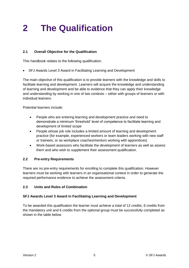## **2 The Qualification**

#### **2.1 Overall Objective for the Qualification**

This handbook relates to the following qualification:

• SFJ Awards Level 3 Award in Facilitating Learning and Development

The main objective of this qualification is to provide learners with the knowledge and skills to facilitate learning and development. Learners will acquire the knowledge and understanding of learning and development and be able to evidence that they can apply their knowledge and understanding by working in one of two contexts – either with groups of learners or with individual learners.

Potential learners include:

- People who are entering learning and development practice and need to demonstrate a minimum 'threshold' level of competence to facilitate learning and development of limited scope
- People whose job role includes a limited amount of learning and development practice (for example, experienced workers or team leaders working with new staff or trainees, or as workplace coaches/mentors working with apprentices)
- Work-based assessors who facilitate the development of learners as well as assess them and who wish to supplement their assessment qualification.

#### **2.2 Pre-entry Requirements**

There are no pre-entry requirements for enrolling to complete this qualification. However learners must be working with learners in an organisational context in order to generate the required performance evidence to achieve the assessment criteria.

#### **2.3 Units and Rules of Combination**

#### **SFJ Awards Level 3 Award in Facilitating Learning and Development**

To be awarded this qualification the learner must achieve a total of 12 credits; 6 credits from the mandatory unit and 6 credits from the optional group must be successfully completed as shown in the table below.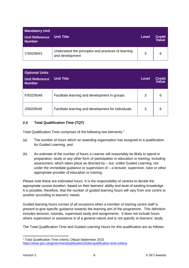| <b>Mandatory Unit</b><br>Unit Reference<br><b>Number</b> | <b>Unit Title</b>                                                      | Level | Credit<br>Value |
|----------------------------------------------------------|------------------------------------------------------------------------|-------|-----------------|
| Y/502/9541                                               | Understand the principles and practices of learning<br>and development | 3     | 6               |

| <b>Optional Units</b><br><b>Unit Reference</b><br><b>Number</b> | <b>Unit Title</b>                                   | <b>Level</b> | <b>Credit</b><br><b>Value</b> |
|-----------------------------------------------------------------|-----------------------------------------------------|--------------|-------------------------------|
| F/502/9548                                                      | Facilitate learning and development in groups       | 3            | 6                             |
| J/502/9549                                                      | Facilitate learning and development for individuals | 3            | 6                             |

#### **2.4 Total Qualification Time (TQT)**

Total Qualification Time comprises of the following two elements.<sup>1</sup>

- (a) The number of hours which an awarding organisation has assigned to a qualification for Guided Learning, and
- (b) An estimate of the number of hours a Learner will reasonably be likely to spend in preparation, study or any other form of participation in education or training, including assessment, which takes place as directed by – but, unlike Guided Learning, not under the immediate guidance or supervision of – a lecturer, supervisor, tutor or other appropriate provider of education or training.

Please note these are estimated hours. It is the responsibility of centres to decide the appropriate course duration, based on their learners' ability and level of existing knowledge. It is possible, therefore, that the number of guided learning hours will vary from one centre to another according to learners' needs.

Guided learning hours consist of all occasions when a member of training centre staff is present to give specific guidance towards the learning aim of the programme. This definition includes lectures, tutorials, supervised study and assignments. It does not include hours where supervision or assistance is of a general nature and is not specific to learners' study.

The Total Qualification Time and Guided Learning Hours for this qualification are as follows:

**<sup>.</sup>** <sup>1</sup> Total Qualification Time criteria, Ofqual September 2015 <https://www.gov.uk/government/publications/total-qualification-time-criteria>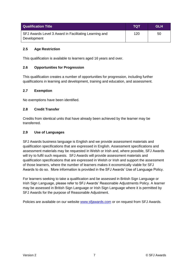| <b>Qualification Title</b>                                           | TQT | <b>GLH</b> |
|----------------------------------------------------------------------|-----|------------|
| SFJ Awards Level 3 Award in Facilitating Learning and<br>Development | 120 | 50         |

#### **2.5 Age Restriction**

This qualification is available to learners aged 16 years and over.

#### **2.6 Opportunities for Progression**

This qualification creates a number of opportunities for progression, including further qualifications in learning and development, training and education, and assessment.

#### **2.7 Exemption**

No exemptions have been identified.

#### **2.8 Credit Transfer**

Credits from identical units that have already been achieved by the learner may be transferred.

#### **2.9 Use of Languages**

SFJ Awards business language is English and we provide assessment materials and qualification specifications that are expressed in English. Assessment specifications and assessment materials may be requested in Welsh or Irish and, where possible, SFJ Awards will try to fulfil such requests. SFJ Awards will provide assessment materials and qualification specifications that are expressed in Welsh or Irish and support the assessment of those learners, where the number of learners makes it economically viable for SFJ Awards to do so. More information is provided in the SFJ Awards' Use of Language Policy.

For learners seeking to take a qualification and be assessed in British Sign Language or Irish Sign Language, please refer to SFJ Awards' Reasonable Adjustments Policy. A learner may be assessed in British Sign Language or Irish Sign Language where it is permitted by SFJ Awards for the purpose of Reasonable Adjustment.

Policies are available on our website **www.sfjawards.com** or on request from SFJ Awards.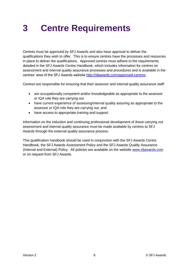### **3 Centre Requirements**

Centres must be approved by SFJ Awards and also have approval to deliver the qualifications they wish to offer. This is to ensure centres have the processes and resources in place to deliver the qualifications. Approved centres must adhere to the requirements detailed in the SFJ Awards Centre Handbook, which includes information for centres on assessment and internal quality assurance processes and procedures and is available in the centres' area of the SFJ Awards website [http://sfjawards.com/approved-centres.](http://sfjawards.com/approved-centres)

Centres are responsible for ensuring that their assessor and internal quality assurance staff:

- are occupationally competent and/or knowledgeable as appropriate to the assessor or IQA role they are carrying out
- have current experience of assessing/internal quality assuring as appropriate to the assessor or IQA role they are carrying out, and
- have access to appropriate training and support.

Information on the induction and continuing professional development of those carrying out assessment and internal quality assurance must be made available by centres to SFJ Awards through the external quality assurance process.

This qualification handbook should be used in conjunction with the SFJ Awards Centre Handbook, the SFJ Awards Assessment Policy and the SFJ Awards Quality Assurance (Internal and External) Policy. All policies are available on the website [www.sfjawards.com](http://www.sfjawards.com/) or on request from SFJ Awards.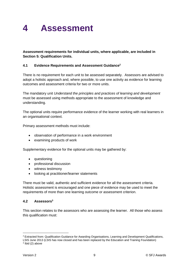### **4 Assessment**

**Assessment requirements for individual units, where applicable, are included in Section 5: Qualification Units.**

#### **4.1 Evidence Requirements and Assessment Guidance<sup>2</sup>**

There is no requirement for each unit to be assessed separately. Assessors are advised to adopt a holistic approach and, where possible, to use one activity as evidence for learning outcomes and assessment criteria for two or more units.

The mandatory unit *Understand the principles and practices of learning and development*  must be assessed using methods appropriate to the assessment of knowledge and understanding.

The optional units require performance evidence of the learner working with real learners in an organisational context.

Primary assessment methods must include:

- observation of performance in a work environment
- examining products of work

Supplementary evidence for the optional units may be gathered by:

- questioning
- professional discussion
- witness testimony
- looking at practitioner/learner statements

There must be valid, authentic and sufficient evidence for all the assessment criteria. Holistic assessment is encouraged and one piece of evidence may be used to meet the requirements of more than one learning outcome or assessment criterion.

#### **4.2 Assessors<sup>3</sup>**

This section relates to the assessors who are assessing the learner. All those who assess this qualification must:

**.** 

<sup>&</sup>lt;sup>2</sup> Extracted from: Qualification Guidance for Awarding Organisations, Learning and Development Qualifications,

LSIS June 2013 (LSIS has now closed and has been replaced by the Education and Training Foundation)  $3$  lbid (2) above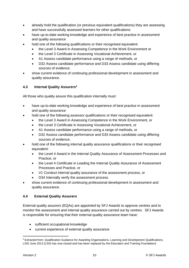- already hold the qualification (or previous equivalent qualifications) they are assessing and have successfully assessed learners for other qualifications
- have up-to-date working knowledge and experience of best practice in assessment and quality assurance
- hold one of the following qualifications or their recognised equivalent:
	- the Level 3 Award in Assessing Competence in the Work Environment or
	- the Level 3 Certificate in Assessing Vocational Achievement, or
	- A1 Assess candidate performance using a range of methods, or
	- D32 Assess candidate performance and D33 Assess candidate using differing sources of evidence.
- show current evidence of continuing professional development in assessment and quality assurance.

#### **4.3 Internal Quality Assurers<sup>4</sup>**

All those who quality assure this qualification internally must:

- have up-to-date working knowledge and experience of best practice in assessment and quality assurance
- hold one of the following assessor qualifications or their recognised equivalent:
	- the Level 3 Award in Assessing Competence in the Work Environment, or
	- the Level 3 Certificate in Assessing Vocational Achievement, or
	- A1 Assess candidate performance using a range of methods, or
	- D32 Assess candidate performance and D33 Assess candidate using differing sources of evidence.
- hold one of the following internal quality assurance qualifications or their recognised equivalent:
	- the Level 4 Award in the Internal Quality Assurance of Assessment Processes and Practice, or
	- the Level 4 Certificate in Leading the Internal Quality Assurance of Assessment Processes and Practice, or
	- V1 Conduct internal quality assurance of the assessment process, or
	- D34 Internally verify the assessment process.
- show current evidence of continuing professional development in assessment and quality assurance.

#### **4.4 External Quality Assurers**

External quality assurers (EQAs) are appointed by SFJ Awards to approve centres and to monitor the assessment and internal quality assurance carried out by centres. SFJ Awards is responsible for ensuring that their external quality assurance team have:

- sufficient occupational knowledge
- current experience of external quality assurance

1

<sup>4</sup> Extracted from: Qualification Guidance for Awarding Organisations, Learning and Development Qualifications, LSIS June 2013 (LSIS has now closed and has been replaced by the Education and Training Foundation)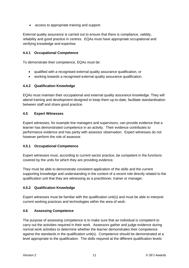• access to appropriate training and support.

External quality assurance is carried out to ensure that there is compliance, validity, reliability and good practice in centres. EQAs must have appropriate occupational and verifying knowledge and expertise.

#### **4.4.1 Occupational Competence**

To demonstrate their competence, EQAs must be:

- qualified with a recognised external quality assurance qualification, or
- working towards a recognised external quality assurance qualification.

#### **4.4.2 Qualification Knowledge**

EQAs must maintain their occupational and external quality assurance knowledge. They will attend training and development designed to keep them up-to-date, facilitate standardisation between staff and share good practice.

#### **4.5 Expert Witnesses**

Expert witnesses, for example line managers and supervisors, can provide evidence that a learner has demonstrated competence in an activity. Their evidence contributes to performance evidence and has parity with assessor observation. Expert witnesses do not however perform the role of assessor.

#### **4.5.1 Occupational Competence**

Expert witnesses must, according to current sector practice, be competent in the functions covered by the units for which they are providing evidence.

They must be able to demonstrate consistent application of the skills and the current supporting knowledge and understanding in the context of a recent role directly related to the qualification unit that they are witnessing as a practitioner, trainer or manager.

#### **4.5.2 Qualification Knowledge**

Expert witnesses must be familiar with the qualification unit(s) and must be able to interpret current working practices and technologies within the area of work.

#### **4.6 Assessing Competence**

The purpose of assessing competence is to make sure that an individual is competent to carry out the activities required in their work. Assessors gather and judge evidence during normal work activities to determine whether the learner demonstrates their competence against the standards in the qualification unit(s). Competence should be demonstrated at a level appropriate to the qualification. The skills required at the different qualification levels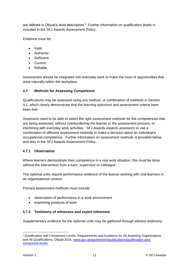are defined in Ofqual's level descriptors.<sup>5</sup> Further information on qualification levels is included in the SFJ Awards Assessment Policy.

Evidence must be:

- Valid
- Authentic
- Sufficient
- Current
- Reliable.

Assessment should be integrated into everyday work to make the most of opportunities that arise naturally within the workplace.

#### **4.7 Methods for Assessing Competence**

Qualifications may be assessed using any method, or combination of methods in Section 4.1, which clearly demonstrate that the learning outcomes and assessment criteria have been met.

Assessors need to be able to select the right assessment methods for the competences that are being assessed, without overburdening the learner or the assessment process, or interfering with everyday work activities. SFJ Awards expects assessors to use a combination of different assessment methods to make a decision about an individual's occupational competence. Further information on assessment methods is provided below and also in the SFJ Awards Assessment Policy.

#### **4.7.1 Observation**

Where learners demonstrate their competence in a real work situation, this must be done without the intervention from a tutor, supervisor or colleague.

The optional units require performance evidence of the learner working with real learners in an organisational context.

Primary assessment methods must include:

- observation of performance in a work environment
- examining products of work

#### **4.7.2 Testimony of witnesses and expert witnesses**

Supplementary evidence for the optional units may be gathered through witness testimony.

**<sup>.</sup>** <sup>5</sup> Qualification and Component Levels: Requirements and Guidance for All Awarding Organisations and All Qualifications, Ofqual 2015, [www.gov.uk/government/publications/qualification-and](http://www.gov.uk/government/publications/qualification-and-component-levels)[component-levels](http://www.gov.uk/government/publications/qualification-and-component-levels)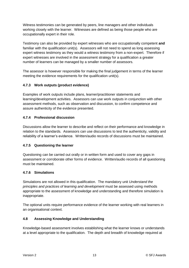Witness testimonies can be generated by peers, line managers and other individuals working closely with the learner. Witnesses are defined as being those people who are occupationally expert in their role.

Testimony can also be provided by expert witnesses who are occupationally competent **and** familiar with the qualification unit(s). Assessors will not need to spend as long assessing expert witness testimony as they would a witness testimony from a non-expert. Therefore if expert witnesses are involved in the assessment strategy for a qualification a greater number of learners can be managed by a smaller number of assessors.

The assessor is however responsible for making the final judgement in terms of the learner meeting the evidence requirements for the qualification unit(s).

#### **4.7.3 Work outputs (product evidence)**

Examples of work outputs include plans, learner/practitioner statements and learning/development activities. Assessors can use work outputs in conjunction with other assessment methods, such as observation and discussion, to confirm competence and assure authenticity of the evidence presented.

#### **4.7.4 Professional discussion**

Discussions allow the learner to describe and reflect on their performance and knowledge in relation to the standards. Assessors can use discussions to test the authenticity, validity and reliability of a learner's evidence. Written/audio records of discussions must be maintained.

#### **4.7.5 Questioning the learner**

Questioning can be carried out orally or in written form and used to cover any gaps in assessment or corroborate other forms of evidence. Written/audio records of all questioning must be maintained.

#### **4.7.6 Simulations**

Simulations are not allowed in this qualification. The mandatory unit *Understand the principles and practices of learning and development* must be assessed using methods appropriate to the assessment of knowledge and understanding and therefore simulation is inappropriate.

The optional units require performance evidence of the learner working with real learners in an organisational context.

#### **4.8 Assessing Knowledge and Understanding**

Knowledge-based assessment involves establishing what the learner knows or understands at a level appropriate to the qualification. The depth and breadth of knowledge required at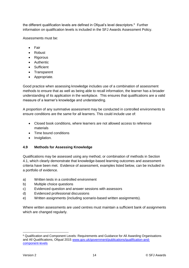the different qualification levels are defined in Ofqual's level descriptors.<sup>6</sup> Further information on qualification levels is included in the SFJ Awards Assessment Policy.

Assessments must be:

- Fair
- Robust
- Rigorous
- Authentic
- Sufficient
- Transparent
- Appropriate.

Good practice when assessing knowledge includes use of a combination of assessment methods to ensure that as well as being able to recall information, the learner has a broader understanding of its application in the workplace. This ensures that qualifications are a valid measure of a learner's knowledge and understanding.

A proportion of any summative assessment may be conducted in controlled environments to ensure conditions are the same for all learners. This could include use of:

- Closed book conditions, where learners are not allowed access to reference materials
- Time bound conditions
- Invigilation.

#### **4.9 Methods for Assessing Knowledge**

Qualifications may be assessed using any method, or combination of methods in Section 4.1, which clearly demonstrate that knowledge-based learning outcomes and assessment criteria have been met. Evidence of assessment, examples listed below, can be included in a portfolio of evidence.

- a) Written tests in a controlled environment
- b) Multiple choice questions
- c) Evidenced question and answer sessions with assessors
- d) Evidenced professional discussions
- e) Written assignments (including scenario-based written assignments).

Where written assessments are used centres must maintain a sufficient bank of assignments which are changed regularly.

<sup>1</sup> <sup>6</sup> Qualification and Component Levels: Requirements and Guidance for All Awarding Organisations and All Qualifications, Ofqual 2015 [www.gov.uk/government/publications/qualification-and](http://www.gov.uk/government/publications/qualification-and-component-levels)[component-levels](http://www.gov.uk/government/publications/qualification-and-component-levels)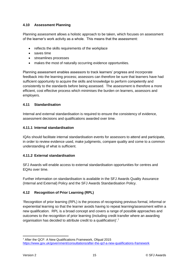#### **4.10 Assessment Planning**

Planning assessment allows a holistic approach to be taken, which focuses on assessment of the learner's work activity as a whole. This means that the assessment:

- reflects the skills requirements of the workplace
- saves time
- streamlines processes
- makes the most of naturally occurring evidence opportunities.

Planning assessment enables assessors to track learners' progress and incorporate feedback into the learning process; assessors can therefore be sure that learners have had sufficient opportunity to acquire the skills and knowledge to perform competently and consistently to the standards before being assessed. The assessment is therefore a more efficient, cost effective process which minimises the burden on learners, assessors and employers.

#### **4.11 Standardisation**

Internal and external standardisation is required to ensure the consistency of evidence, assessment decisions and qualifications awarded over time.

#### **4.11.1 Internal standardisation**

IQAs should facilitate internal standardisation events for assessors to attend and participate, in order to review evidence used, make judgments, compare quality and come to a common understanding of what is sufficient.

#### **4.11.2 External standardisation**

SFJ Awards will enable access to external standardisation opportunities for centres and EQAs over time.

Further information on standardisation is available in the SFJ Awards Quality Assurance (Internal and External) Policy and the SFJ Awards Standardisation Policy.

#### **4.12 Recognition of Prior Learning (RPL)**

'Recognition of prior learning (RPL) is the process of recognising previous formal, informal or experiential learning so that the learner avoids having to repeat learning/assessment within a new qualification. RPL is a broad concept and covers a range of possible approaches and outcomes to the recognition of prior learning (including credit transfer where an awarding organisation has decided to attribute credit to a qualification)'.<sup>7</sup>

**<sup>.</sup>** <sup>7</sup> After the QCF: A New Qualifications Framework, Ofqual 2015 <https://www.gov.uk/government/consultations/after-the-qcf-a-new-qualifications-framework>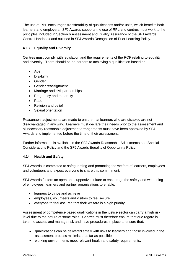The use of RPL encourages transferability of qualifications and/or units, which benefits both learners and employers. SFJ Awards supports the use of RPL and centres must work to the principles included in Section 6 Assessment and Quality Assurance of the SFJ Awards Centre Handbook and outlined in SFJ Awards Recognition of Prior Learning Policy.

#### **4.13 Equality and Diversity**

Centres must comply with legislation and the requirements of the RQF relating to equality and diversity. There should be no barriers to achieving a qualification based on:

- Age
- Disability
- Gender
- Gender reassignment
- Marriage and civil partnerships
- Pregnancy and maternity
- Race
- Religion and belief
- Sexual orientation

Reasonable adjustments are made to ensure that learners who are disabled are not disadvantaged in any way. Learners must declare their needs prior to the assessment and all necessary reasonable adjustment arrangements must have been approved by SFJ Awards and implemented before the time of their assessment.

Further information is available in the SFJ Awards Reasonable Adjustments and Special Considerations Policy and the SFJ Awards Equality of Opportunity Policy.

#### **4.14 Health and Safety**

SFJ Awards is committed to safeguarding and promoting the welfare of learners, employees and volunteers and expect everyone to share this commitment.

SFJ Awards fosters an open and supportive culture to encourage the safety and well-being of employees, learners and partner organisations to enable:

- learners to thrive and achieve
- employees, volunteers and visitors to feel secure
- everyone to feel assured that their welfare is a high priority.

Assessment of competence based qualifications in the justice sector can carry a high risk level due to the nature of some roles. Centres must therefore ensure that due regard is taken to assess and manage risk and have procedures in place to ensure that:

- qualifications can be delivered safely with risks to learners and those involved in the assessment process minimised as far as possible
- working environments meet relevant health and safety requirements.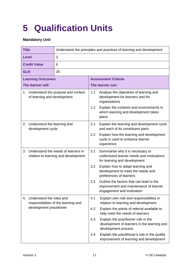## **5 Qualification Units**

#### **Mandatory Unit**

| <b>Title</b>                                                                                       |                                                  | Understand the principles and practices of learning and development |                                                                                                                 |                                                                                 |  |  |
|----------------------------------------------------------------------------------------------------|--------------------------------------------------|---------------------------------------------------------------------|-----------------------------------------------------------------------------------------------------------------|---------------------------------------------------------------------------------|--|--|
| <b>Level</b>                                                                                       |                                                  | 3                                                                   |                                                                                                                 |                                                                                 |  |  |
| <b>Credit Value</b>                                                                                |                                                  | 6                                                                   |                                                                                                                 |                                                                                 |  |  |
| <b>GLH</b>                                                                                         |                                                  | 25                                                                  |                                                                                                                 |                                                                                 |  |  |
|                                                                                                    | <b>Learning Outcomes</b>                         |                                                                     |                                                                                                                 | <b>Assessment Criteria</b>                                                      |  |  |
|                                                                                                    | The learner will:                                |                                                                     |                                                                                                                 | The learner can:                                                                |  |  |
| 1. Understand the purpose and context<br>of learning and development                               |                                                  | 1.1                                                                 | Analyse the objectives of learning and<br>development for learners and for<br>organisations                     |                                                                                 |  |  |
|                                                                                                    |                                                  | 1.2                                                                 | Explain the contexts and environments in<br>which learning and development takes<br>place                       |                                                                                 |  |  |
| 2.                                                                                                 | Understand the learning and<br>development cycle |                                                                     | 2.1                                                                                                             | Explain the learning and development cycle<br>and each of its constituent parts |  |  |
|                                                                                                    |                                                  | 2.2                                                                 | Explain how the learning and development<br>cycle is used to enhance learner<br>experience                      |                                                                                 |  |  |
| 3.<br>Understand the needs of learners in<br>relation to learning and development                  |                                                  | 3.1                                                                 | Summarise why it is necessary to<br>understand learner needs and motivations<br>for learning and development    |                                                                                 |  |  |
|                                                                                                    |                                                  | 3.2                                                                 | Explain how to adapt learning and<br>development to meet the needs and<br>preferences of learners               |                                                                                 |  |  |
|                                                                                                    |                                                  | 3.3                                                                 | Outline the factors that can lead to the<br>improvement and maintenance of learner<br>engagement and motivation |                                                                                 |  |  |
| Understand the roles and<br>4.<br>responsibilities of the learning and<br>development practitioner |                                                  | 4.1                                                                 | Explain own role and responsibilities in<br>relation to learning and development                                |                                                                                 |  |  |
|                                                                                                    |                                                  | 4.2                                                                 | Explain the points of referral available to<br>help meet the needs of learners                                  |                                                                                 |  |  |
|                                                                                                    |                                                  | 4.3                                                                 | Explain the practitioner role in the<br>development of learners in the learning and<br>development process      |                                                                                 |  |  |
|                                                                                                    |                                                  | 4.4                                                                 | Explain the practitioner's role in the quality<br>improvement of learning and development                       |                                                                                 |  |  |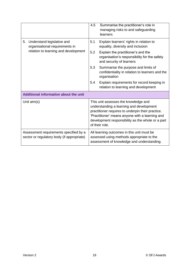|                                                                                      | 4.5                                                                                                                                                                                                                                                             | Summarise the practitioner's role in<br>managing risks to and safeguarding<br>learners                         |
|--------------------------------------------------------------------------------------|-----------------------------------------------------------------------------------------------------------------------------------------------------------------------------------------------------------------------------------------------------------------|----------------------------------------------------------------------------------------------------------------|
| Understand legislative and<br>5.<br>organisational requirements in                   | 5.1                                                                                                                                                                                                                                                             | Explain learners' rights in relation to<br>equality, diversity and inclusion                                   |
| relation to learning and development                                                 | 5.2                                                                                                                                                                                                                                                             | Explain the practitioner's and the<br>organisation's responsibility for the safety<br>and security of learners |
|                                                                                      | 5.3                                                                                                                                                                                                                                                             | Summarise the purpose and limits of<br>confidentiality in relation to learners and the<br>organisation         |
|                                                                                      | 5.4                                                                                                                                                                                                                                                             | Explain requirements for record keeping in<br>relation to learning and development                             |
| Additional information about the unit                                                |                                                                                                                                                                                                                                                                 |                                                                                                                |
| Unit $aim(s)$                                                                        | This unit assesses the knowledge and<br>understanding a learning and development<br>practitioner requires to underpin their practice.<br>'Practitioner' means anyone with a learning and<br>development responsibility as the whole or a part<br>of their role. |                                                                                                                |
| Assessment requirements specified by a<br>sector or regulatory body (if appropriate) | All learning outcomes in this unit must be<br>assessed using methods appropriate to the<br>assessment of knowledge and understanding.                                                                                                                           |                                                                                                                |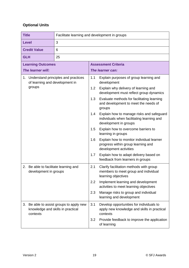#### **Optional Units**

| <b>Title</b>        |                                | Facilitate learning and development in groups                              |                                                                                                                  |                                                                                                           |  |
|---------------------|--------------------------------|----------------------------------------------------------------------------|------------------------------------------------------------------------------------------------------------------|-----------------------------------------------------------------------------------------------------------|--|
| <b>Level</b>        |                                | 3                                                                          |                                                                                                                  |                                                                                                           |  |
| <b>Credit Value</b> |                                | 6                                                                          |                                                                                                                  |                                                                                                           |  |
| <b>GLH</b>          |                                | 25                                                                         |                                                                                                                  |                                                                                                           |  |
|                     | <b>Learning Outcomes</b>       |                                                                            |                                                                                                                  | <b>Assessment Criteria</b>                                                                                |  |
|                     | The learner will:              |                                                                            |                                                                                                                  | The learner can:                                                                                          |  |
|                     | of learning and development in | 1. Understand principles and practices                                     | 1.1                                                                                                              | Explain purposes of group learning and<br>development                                                     |  |
|                     | groups                         |                                                                            | 1.2                                                                                                              | Explain why delivery of learning and<br>development must reflect group dynamics                           |  |
|                     |                                |                                                                            | 1.3                                                                                                              | Evaluate methods for facilitating learning<br>and development to meet the needs of<br>groups              |  |
|                     |                                | 1.4                                                                        | Explain how to manage risks and safeguard<br>individuals when facilitating learning and<br>development in groups |                                                                                                           |  |
|                     |                                |                                                                            | 1.5                                                                                                              | Explain how to overcome barriers to<br>learning in groups                                                 |  |
|                     |                                |                                                                            | 1.6                                                                                                              | Explain how to monitor individual learner<br>progress within group learning and<br>development activities |  |
|                     |                                |                                                                            | 1.7                                                                                                              | Explain how to adapt delivery based on<br>feedback from learners in groups                                |  |
| 2.                  | development in groups          | Be able to facilitate learning and                                         | 2.1                                                                                                              | Clarify facilitation methods with group<br>members to meet group and individual<br>learning objectives    |  |
|                     |                                |                                                                            | 2.2                                                                                                              | Implement learning and development<br>activities to meet learning objectives                              |  |
|                     |                                |                                                                            | 2.3                                                                                                              | Manage risks to group and individual<br>learning and development                                          |  |
| 3.                  | contexts                       | Be able to assist groups to apply new<br>knowledge and skills in practical | 3.1                                                                                                              | Develop opportunities for individuals to<br>apply new knowledge and skills in practical<br>contexts       |  |
|                     |                                |                                                                            | 3.2                                                                                                              | Provide feedback to improve the application<br>of learning                                                |  |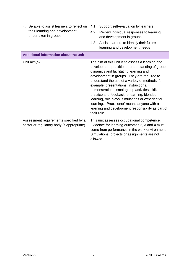| Be able to assist learners to reflect on<br>4.<br>their learning and development<br>undertaken in groups | 4.1<br>Support self-evaluation by learners<br>4.2<br>Review individual responses to learning<br>and development in groups<br>Assist learners to identify their future<br>4.3<br>learning and development needs                                                                                                                                                                                                                                                                                                                                                     |
|----------------------------------------------------------------------------------------------------------|--------------------------------------------------------------------------------------------------------------------------------------------------------------------------------------------------------------------------------------------------------------------------------------------------------------------------------------------------------------------------------------------------------------------------------------------------------------------------------------------------------------------------------------------------------------------|
| Additional information about the unit                                                                    |                                                                                                                                                                                                                                                                                                                                                                                                                                                                                                                                                                    |
| Unit $aim(s)$                                                                                            | The aim of this unit is to assess a learning and<br>development practitioner understanding of group<br>dynamics and facilitating learning and<br>development in groups. They are required to<br>understand the use of a variety of methods, for<br>example, presentations, instructions,<br>demonstrations, small group activities, skills<br>practice and feedback, e-learning, blended<br>learning, role plays, simulations or experiential<br>learning. 'Practitioner' means anyone with a<br>learning and development responsibility as part of<br>their role. |
| Assessment requirements specified by a<br>sector or regulatory body (if appropriate)                     | This unit assesses occupational competence.<br>Evidence for learning outcomes 2, 3 and 4 must<br>come from performance in the work environment.<br>Simulations, projects or assignments are not<br>allowed.                                                                                                                                                                                                                                                                                                                                                        |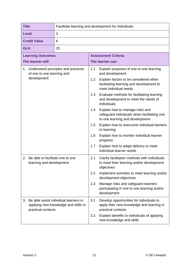| <b>Title</b>                                                                   | Facilitate learning and development for individuals                           |     |                                                                                                                   |  |  |
|--------------------------------------------------------------------------------|-------------------------------------------------------------------------------|-----|-------------------------------------------------------------------------------------------------------------------|--|--|
| <b>Level</b>                                                                   | 3                                                                             |     |                                                                                                                   |  |  |
| <b>Credit Value</b>                                                            | 6                                                                             |     |                                                                                                                   |  |  |
| <b>GLH</b>                                                                     | 25                                                                            |     |                                                                                                                   |  |  |
| <b>Learning Outcomes</b>                                                       |                                                                               |     | <b>Assessment Criteria</b>                                                                                        |  |  |
| The learner will:                                                              |                                                                               |     | The learner can:                                                                                                  |  |  |
| of one to one learning and                                                     | 1. Understand principles and practices                                        | 1.1 | Explain purposes of one to one learning<br>and development                                                        |  |  |
| development                                                                    |                                                                               | 1.2 | Explain factors to be considered when<br>facilitating learning and development to<br>meet individual needs        |  |  |
|                                                                                |                                                                               | 1.3 | Evaluate methods for facilitating learning<br>and development to meet the needs of<br>individuals                 |  |  |
|                                                                                |                                                                               |     | Explain how to manage risks and<br>safeguard individuals when facilitating one<br>to one learning and development |  |  |
|                                                                                |                                                                               | 1.5 | Explain how to overcome individual barriers<br>to learning                                                        |  |  |
|                                                                                |                                                                               | 1.6 | Explain how to monitor individual learner<br>progress                                                             |  |  |
|                                                                                |                                                                               | 1.7 | Explain how to adapt delivery to meet<br>individual learner needs                                                 |  |  |
| Be able to facilitate one to one<br>2 <sub>1</sub><br>learning and development |                                                                               | 2.1 | Clarify facilitation methods with individuals<br>to meet their learning and/or development<br>objectives          |  |  |
|                                                                                |                                                                               | 2.2 | Implement activities to meet learning and/or<br>development objectives                                            |  |  |
|                                                                                |                                                                               | 2.3 | Manage risks and safeguard learners<br>participating in one to one learning and/or<br>development                 |  |  |
| 3.<br>practical contexts                                                       | Be able assist individual learners in<br>applying new knowledge and skills in | 3.1 | Develop opportunities for individuals to<br>apply their new knowledge and learning in<br>practical contexts       |  |  |
|                                                                                |                                                                               | 3.2 | Explain benefits to individuals of applying<br>new knowledge and skills                                           |  |  |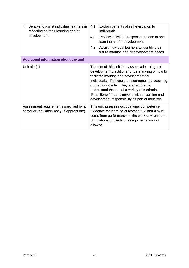| Be able to assist individual learners in<br>4.<br>reflecting on their learning and/or<br>development | 4.1<br>Explain benefits of self evaluation to<br>individuals<br>4.2<br>Review individual responses to one to one<br>learning and/or development<br>4.3<br>Assist individual learners to identify their<br>future learning and/or development needs                                                                                                                                                    |  |
|------------------------------------------------------------------------------------------------------|-------------------------------------------------------------------------------------------------------------------------------------------------------------------------------------------------------------------------------------------------------------------------------------------------------------------------------------------------------------------------------------------------------|--|
| Additional information about the unit                                                                |                                                                                                                                                                                                                                                                                                                                                                                                       |  |
| Unit $aim(s)$                                                                                        | The aim of this unit is to assess a learning and<br>development practitioner understanding of how to<br>facilitate learning and development for<br>individuals. This could be someone in a coaching<br>or mentoring role. They are required to<br>understand the use of a variety of methods.<br>'Practitioner' means anyone with a learning and<br>development responsibility as part of their role. |  |
| Assessment requirements specified by a<br>sector or regulatory body (if appropriate)                 | This unit assesses occupational competence.<br>Evidence for learning outcomes 2, 3 and 4 must<br>come from performance in the work environment.<br>Simulations, projects or assignments are not<br>allowed.                                                                                                                                                                                           |  |